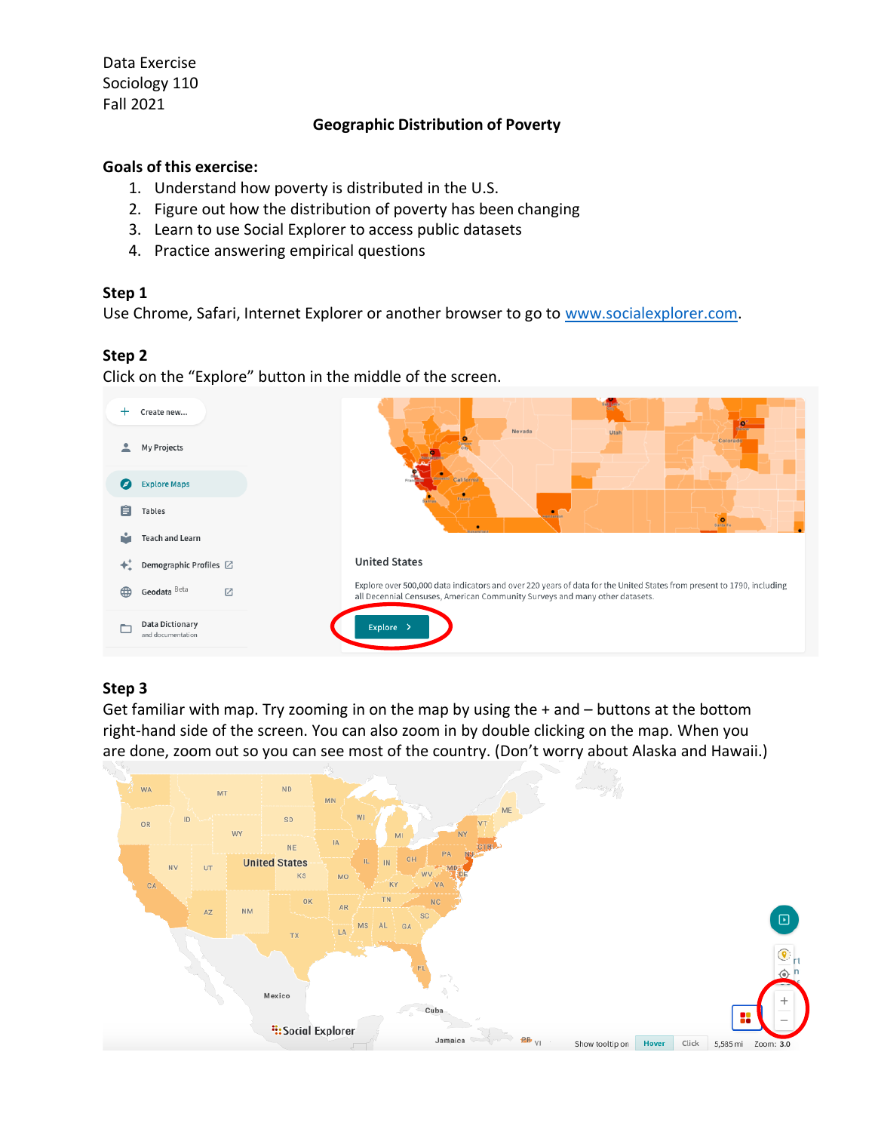Data Exercise Sociology 110 Fall 2021

# **Geographic Distribution of Poverty**

#### **Goals of this exercise:**

- 1. Understand how poverty is distributed in the U.S.
- 2. Figure out how the distribution of poverty has been changing
- 3. Learn to use Social Explorer to access public datasets
- 4. Practice answering empirical questions

## **Step 1**

Use Chrome, Safari, Internet Explorer or another browser to go to [www.socialexplorer.com.](http://www.socialexplorer.com/)

## **Step 2**

Click on the "Explore" button in the middle of the screen.



#### **Step 3**

Get familiar with map. Try zooming in on the map by using the + and – buttons at the bottom right-hand side of the screen. You can also zoom in by double clicking on the map. When you are done, zoom out so you can see most of the country. (Don't worry about Alaska and Hawaii.)

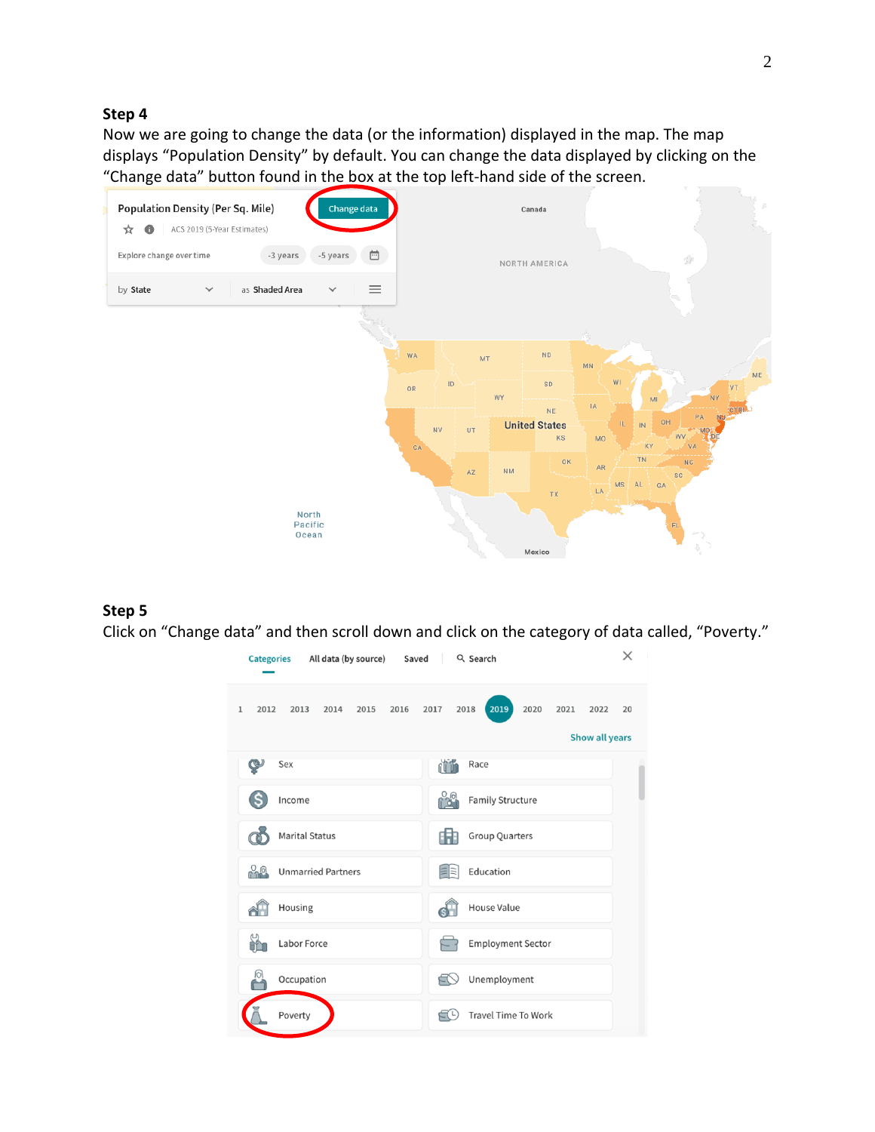Now we are going to change the data (or the information) displayed in the map. The map displays "Population Density" by default. You can change the data displayed by clicking on the "Change data" button found in the box at the top left-hand side of the screen.



## **Step 5**

Click on "Change data" and then scroll down and click on the category of data called, "Poverty."

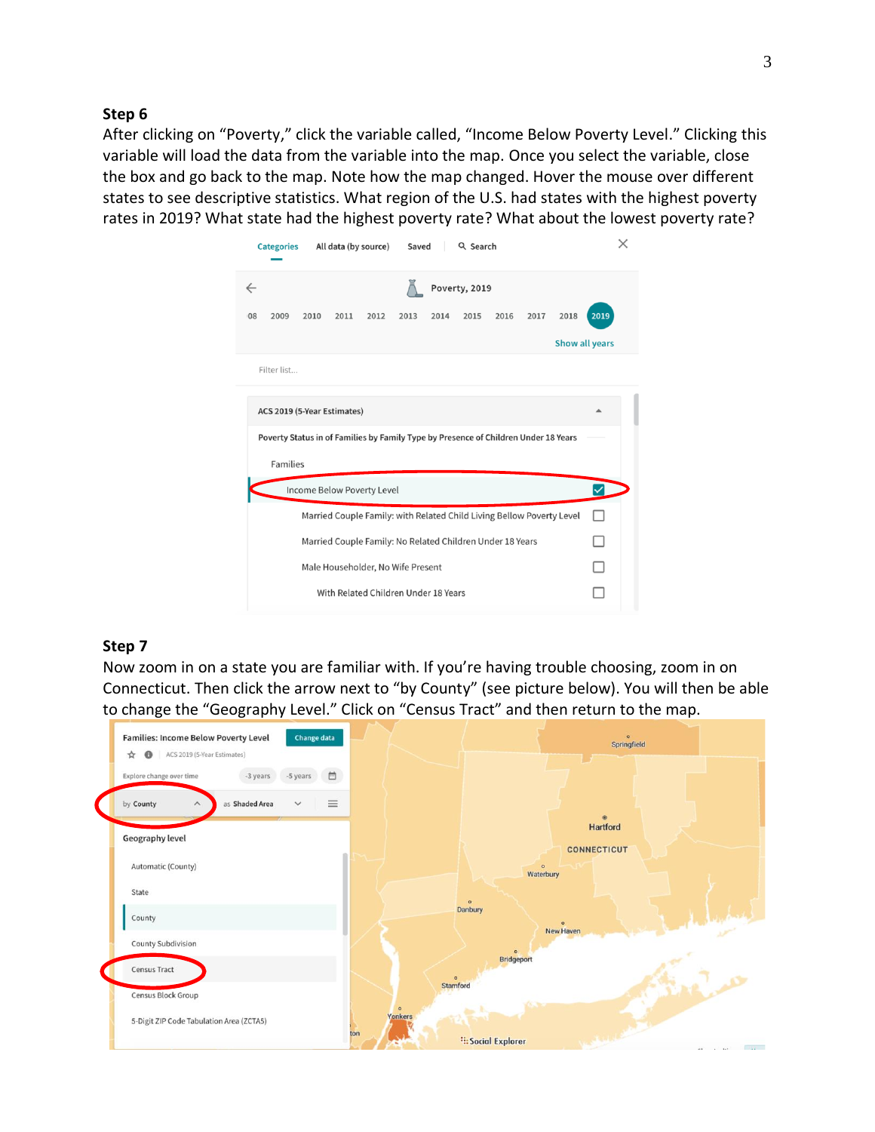After clicking on "Poverty," click the variable called, "Income Below Poverty Level." Clicking this variable will load the data from the variable into the map. Once you select the variable, close the box and go back to the map. Note how the map changed. Hover the mouse over different states to see descriptive statistics. What region of the U.S. had states with the highest poverty rates in 2019? What state had the highest poverty rate? What about the lowest poverty rate?

| All data (by source)<br>Saved<br>Q Search<br><b>Categories</b>                      | X    |
|-------------------------------------------------------------------------------------|------|
| Poverty, 2019<br>$\leftarrow$                                                       |      |
| 2016<br>2017<br>2018<br>2009<br>2010<br>2011<br>2012<br>2013<br>2014<br>2015<br>08  | 2019 |
| <b>Show all years</b>                                                               |      |
| Filter list                                                                         |      |
| ACS 2019 (5-Year Estimates)                                                         |      |
| Poverty Status in of Families by Family Type by Presence of Children Under 18 Years |      |
| <b>Families</b>                                                                     |      |
| Income Below Poverty Level                                                          |      |
| Married Couple Family: with Related Child Living Bellow Poverty Level               |      |
| Married Couple Family: No Related Children Under 18 Years                           |      |
| Male Householder, No Wife Present                                                   |      |
| With Related Children Under 18 Years                                                |      |
|                                                                                     |      |

## **Step 7**

Now zoom in on a state you are familiar with. If you're having trouble choosing, zoom in on Connecticut. Then click the arrow next to "by County" (see picture below). You will then be able to change the "Geography Level." Click on "Census Tract" and then return to the map.

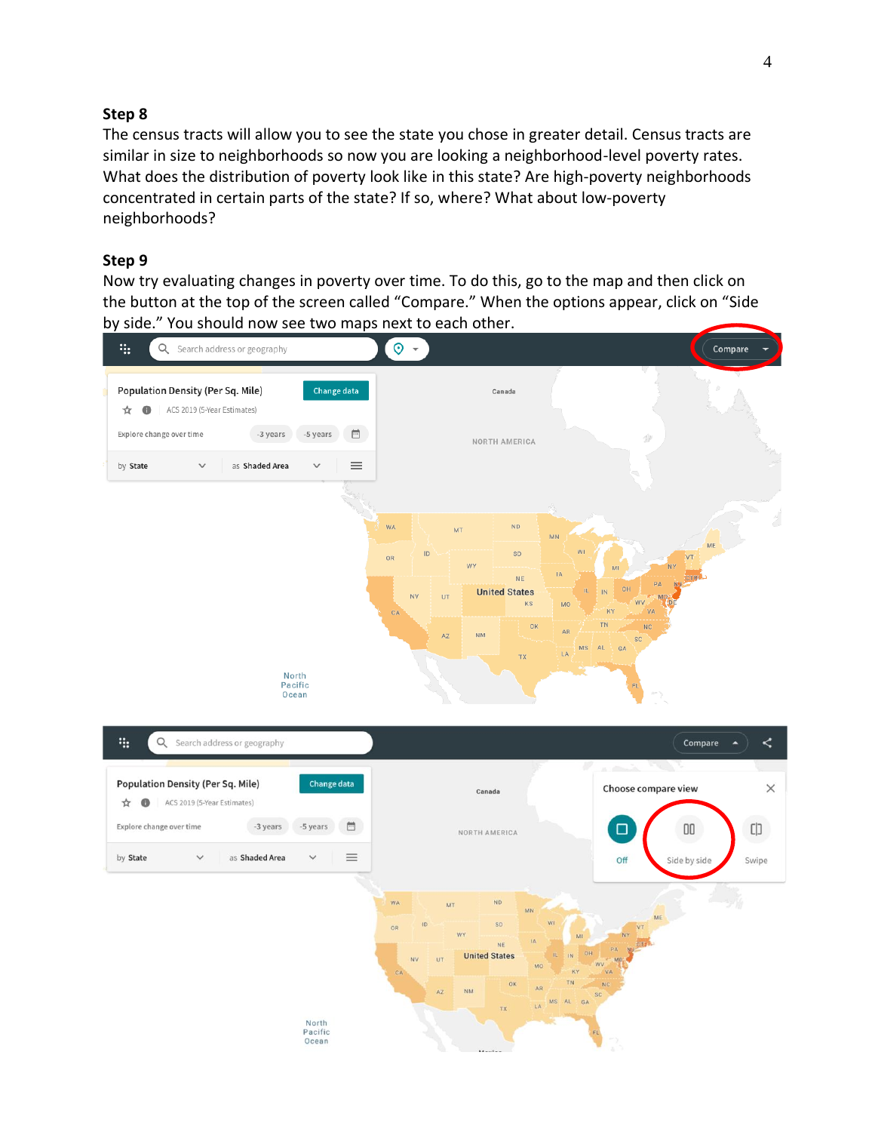The census tracts will allow you to see the state you chose in greater detail. Census tracts are similar in size to neighborhoods so now you are looking a neighborhood-level poverty rates. What does the distribution of poverty look like in this state? Are high-poverty neighborhoods concentrated in certain parts of the state? If so, where? What about low-poverty neighborhoods?

# **Step 9**

Now try evaluating changes in poverty over time. To do this, go to the map and then click on the button at the top of the screen called "Compare." When the options appear, click on "Side by side." You should now see two maps next to each other.